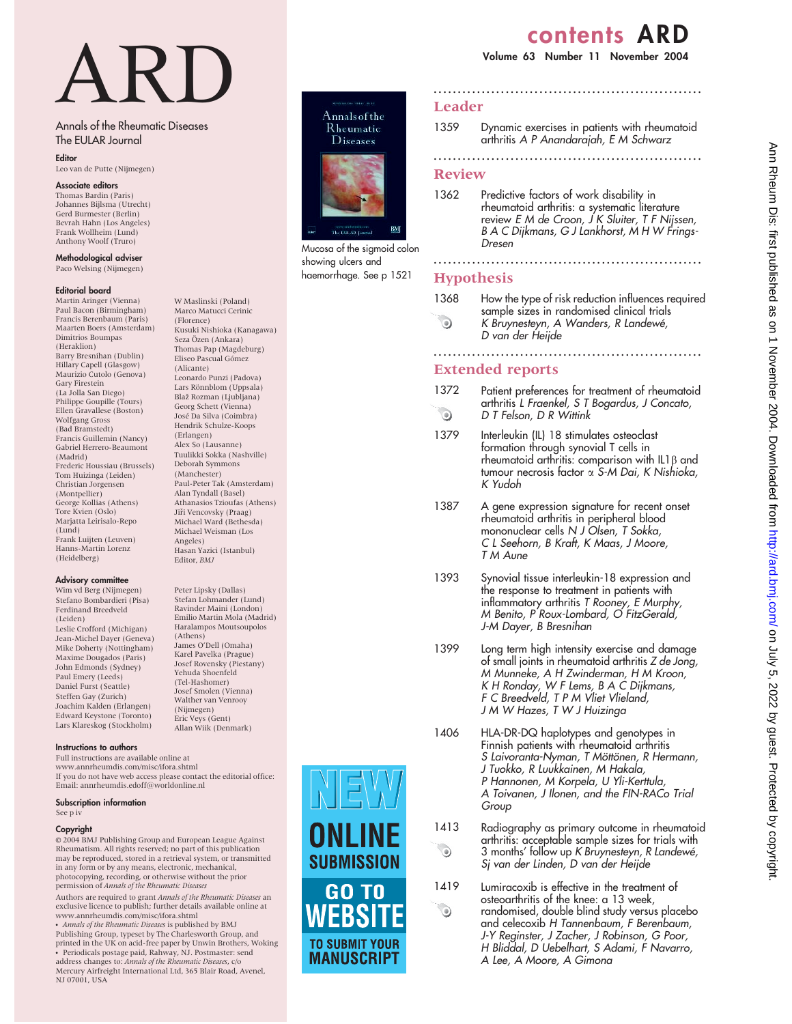# contents ARD

Volume 63 Number 11 November 2004

# ARD

W Maslinski (Poland) Marco Matucci Cerinic (Florence)

Kusuki Nishioka (Kanagawa) Seza Özen (Ankara) Thomas Pap (Magdeburg) Eliseo Pascual Gómez (Alicante)

Leonardo Punzi (Padova) Lars Rönnblom (Uppsala) Blaž Rozman (Ljubljana) Georg Schett (Vienna) Jose´ Da Silva (Coimbra) Hendrik Schulze-Koops (Erlangen) Alex So (Lausanne) Tuulikki Sokka (Nashville) Deborah Symmons (Manchester)

Paul-Peter Tak (Amsterdam) Alan Tyndall (Basel) Athanasios Tzioufas (Athens) Jiři Vencovsky (Praag) Michael Ward (Bethesda) Michael Weisman (Los

Hasan Yazici (Istanbul) Editor, BMJ

Peter Lipsky (Dallas) Stefan Lohmander (Lund) Ravinder Maini (London) Emilio Martin Mola (Madrid) Haralampos Moutsoupolos

Angeles)

(Athens) James O'Dell (Omaha) Karel Pavelka (Prague) Josef Rovensky (Piestany) Yehuda Shoenfeld (Tel-Hashomer) Josef Smolen (Vienna) Walther van Venrooy (Nijmegen) Eric Veys (Gent) Allan Wiik (Denmark)

#### Annals of the Rheumatic Diseases The EULAR Journal

**Editor** 

Leo van de Putte (Nijmegen)

#### Associate editors

Thomas Bardin (Paris) Johannes Bijlsma (Utrecht) Gerd Burmester (Berlin) Bevrah Hahn (Los Angeles) Frank Wollheim (Lund) Anthony Woolf (Truro)

Methodological adviser Paco Welsing (Nijmegen)

#### Editorial board

Martin Aringer (Vienna) Paul Bacon (Birmingham) Francis Berenbaum (Paris) Maarten Boers (Amsterdam) Dimitrios Boumpas (Heraklion) Barry Bresnihan (Dublin) Hillary Capell (Glasgow) Maurizio Cutolo (Genova) Gary Firestein (La Jolla San Diego) Philippe Goupille (Tours) Ellen Gravallese (Boston) Wolfgang Gross (Bad Bramstedt) Francis Guillemin (Nancy) Gabriel Herrero-Beaumont (Madrid) Frederic Houssiau (Brussels) Tom Huizinga (Leiden) Christian Jorgensen (Montpellier) George Kollias (Athens) Tore Kvien (Oslo) Marjatta Leirisalo-Repo (Lund) Frank Luijten (Leuven) Hanns-Martin Lorenz (Heidelberg)

#### Advisory committee

Wim vd Berg (Nijmegen) Stefano Bombardieri (Pisa) Ferdinand Breedveld (Leiden) Leslie Crofford (Michigan) Jean-Michel Dayer (Geneva) Mike Doherty (Nottingham) Maxime Dougados (Paris) John Edmonds (Sydney) Paul Emery (Leeds) Daniel Furst (Seattle) Steffen Gay (Zurich) Joachim Kalden (Erlangen) Edward Keystone (Toronto) Lars Klareskog (Stockholm)

#### Instructions to authors

Full instructions are available online at www.annrheumdis.com/misc/ifora.shtml If you do not have web access please contact the editorial office: Email: annrheumdis.edoff@worldonline.nl

#### Subscription information

See p iv

#### **Copyright**

 $© 2004$  BMJ Publishing Group and European League Against Rheumatism. All rights reserved; no part of this publication may be reproduced, stored in a retrieval system, or transmitted in any form or by any means, electronic, mechanical, photocopying, recording, or otherwise without the prior permission of Annals of the Rheumatic Diseases

Authors are required to grant Annals of the Rheumatic Diseases an exclusive licence to publish; further details available online at www.annrheumdis.com/misc/ifora.shtml

• Annals of the Rheumatic Diseases is published by BMJ Publishing Group, typeset by The Charlesworth Group, and printed in the UK on acid-free paper by Unwin Brothers, Woking N Periodicals postage paid, Rahway, NJ. Postmaster: send address changes to: Annals of the Rheumatic Diseases, c/o Mercury Airfreight International Ltd, 365 Blair Road, Avenel, NJ 07001, USA



Mucosa of the sigmoid colon showing ulcers and haemorrhage. See p 1521

#### Leader

1359 Dynamic exercises in patients with rheumatoid arthritis A P Anandarajah, E M Schwarz ........................................................

........................................................

#### Review

1362 Predictive factors of work disability in rheumatoid arthritis: a systematic literature review E M de Croon, J K Sluiter, T F Nijssen, B A C Dijkmans, G J Lankhorst, M H W Frings-Dresen

........................................................

## Hypothesis

1368 How the type of risk reduction influences required sample sizes in randomised clinical trials  $\odot$ K Bruynesteyn, A Wanders, R Landewé, D van der Heijde

## Extended reports

1372 Patient preferences for treatment of rheumatoid arthritis L Fraenkel, S T Bogardus, J Concato,  $\odot$ D T Felson, D R Wittink

........................................................

- 1379 Interleukin (IL) 18 stimulates osteoclast formation through synovial T cells in rheumatoid arthritis: comparison with IL1 $\upbeta$  and tumour necrosis factor a S-M Dai, K Nishioka, K Yudoh
- 1387 A gene expression signature for recent onset rheumatoid arthritis in peripheral blood mononuclear cells N J Olsen, T Sokka, C L Seehorn, B Kraft, K Maas, J Moore, T M Aune
- 1393 Synovial tissue interleukin-18 expression and the response to treatment in patients with inflammatory arthritis T Rooney, E Murphy, M Benito, P Roux-Lombard, O FitzGerald, J-M Dayer, B Bresnihan
- 1399 Long term high intensity exercise and damage of small joints in rheumatoid arthritis Z de Jong, M Munneke, A H Zwinderman, H M Kroon, K H Ronday, W F Lems, B A C Dijkmans, F C Breedveld, T P M Vliet Vlieland, J M W Hazes, T W J Huizinga
- 1406 HLA-DR-DQ haplotypes and genotypes in Finnish patients with rheumatoid arthritis S Laivoranta-Nyman, T Möttönen, R Hermann, J Tuokko, R Luukkainen, M Hakala, P Hannonen, M Korpela, U Yli-Kerttula, A Toivanen, J Ilonen, and the FIN-RACo Trial Group
- 1413 Radiography as primary outcome in rheumatoid arthritis: acceptable sample sizes for trials with  $\odot$ 3 months' follow up K Bruynesteyn, R Landewé, Sj van der Linden, D van der Heijde
- 1419 Lumiracoxib is effective in the treatment of osteoarthritis of the knee: a 13 week,  $\odot$ randomised, double blind study versus placebo and celecoxib H Tannenbaum, F Berenbaum, J-Y Reginster, J Zacher, J Robinson, G Poor, H Bliddal, D Uebelhart, S Adami, F Navarro, A Lee, A Moore, A Gimona

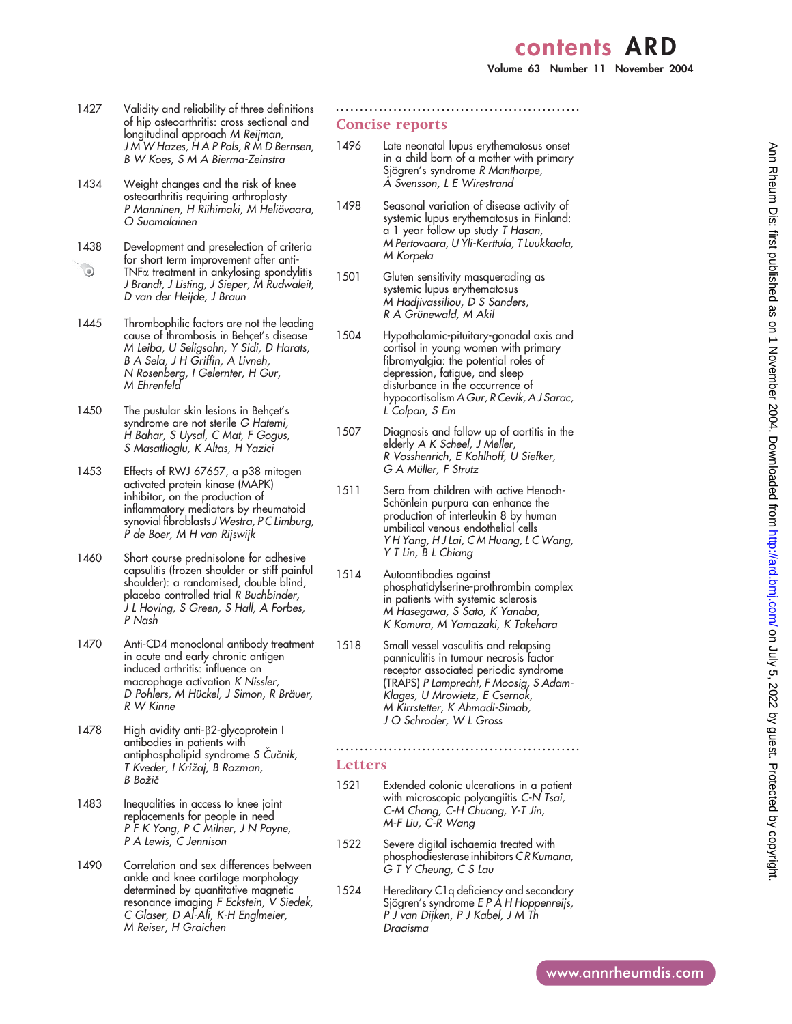- 1427 Validity and reliability of three definitions of hip osteoarthritis: cross sectional and longitudinal approach M Reijman, J M W Hazes, H A P Pols, R M D Bernsen, B W Koes, S M A Bierma-Zeinstra
- 1434 Weight changes and the risk of knee osteoarthritis requiring arthroplasty P Manninen, H Riihimaki, M Heliövaara, O Suomalainen
- 1438 Development and preselection of criteria for short term improvement after anti- $\odot$ TNFa treatment in ankylosing spondylitis J Brandt, J Listing, J Sieper, M Rudwaleit, D van der Heijde, J Braun
- 1445 Thrombophilic factors are not the leading cause of thrombosis in Behcet's disease M Leiba, U Seligsohn, Y Sidi, D Harats, B A Sela, J H Griffin, A Livneh, N Rosenberg, I Gelernter, H Gur, M Ehrenfeld
- 1450 The pustular skin lesions in Behçet's syndrome are not sterile G Hatemi, H Bahar, S Uysal, C Mat, F Gogus, S Masatlioglu, K Altas, H Yazici
- 1453 Effects of RWJ 67657, a p38 mitogen activated protein kinase (MAPK) inhibitor, on the production of inflammatory mediators by rheumatoid synovial fibroblasts J Westra, P C Limburg, P de Boer, M H van Rijswijk
- 1460 Short course prednisolone for adhesive capsulitis (frozen shoulder or stiff painful shoulder): a randomised, double blind, placebo controlled trial R Buchbinder, J L Hoving, S Green, S Hall, A Forbes, P Nash
- 1470 Anti-CD4 monoclonal antibody treatment in acute and early chronic antigen induced arthritis: influence on macrophage activation K Nissler, D Pohlers, M Hückel, J Simon, R Bräuer, R W Kinne
- $1478$  High avidity anti- $\beta$ 2-glycoprotein I antibodies in patients with antiphospholipid syndrome S Čučnik, T Kveder, I Križaj, B Rozman, B Božič
- 1483 Inequalities in access to knee joint replacements for people in need P F K Yong, P C Milner, J N Payne, P A Lewis, C Jennison
- 1490 Correlation and sex differences between ankle and knee cartilage morphology determined by quantitative magnetic resonance imaging F Eckstein, V Siedek, C Glaser, D Al-Ali, K-H Englmeier, M Reiser, H Graichen

## Concise reports

1496 Late neonatal lupus erythematosus onset in a child born of a mother with primary Sjögren's syndrome R Manthorpe, A˚ Svensson, L E Wirestrand

...................................................

- 1498 Seasonal variation of disease activity of systemic lupus erythematosus in Finland: a 1 year follow up study T Hasan, M Pertovaara, U Yli-Kerttula, T Luukkaala, M Korpela
- 1501 Gluten sensitivity masquerading as systemic lupus erythematosus M Hadjivassiliou, D S Sanders, R A Grünewald, M Akil
- 1504 Hypothalamic-pituitary-gonadal axis and cortisol in young women with primary fibromyalgia: the potential roles of depression, fatigue, and sleep disturbance in the occurrence of hypocortisolism A Gur, R Cevik, A J Sarac, L Colpan, S Em
- 1507 Diagnosis and follow up of aortitis in the elderly A K Scheel, J Meller, R Vosshenrich, E Kohlhoff, U Siefker, G A Müller, F Strutz
- 1511 Sera from children with active Henoch-Schönlein purpura can enhance the production of interleukin 8 by human umbilical venous endothelial cells Y H Yang, H J Lai, C M Huang, L C Wang, Y T Lin, B L Chiang
- 1514 Autoantibodies against phosphatidylserine-prothrombin complex in patients with systemic sclerosis M Hasegawa, S Sato, K Yanaba, K Komura, M Yamazaki, K Takehara
- 1518 Small vessel vasculitis and relapsing panniculitis in tumour necrosis factor receptor associated periodic syndrome (TRAPS) P Lamprecht, F Moosig, S Adam-Klages, U Mrowietz, E Csernok, M Kirrstetter, K Ahmadi-Simab, J O Schroder, W L Gross

# Letters

1521 Extended colonic ulcerations in a patient with microscopic polyangiitis C-N Tsai, C-M Chang, C-H Chuang, Y-T Jin, M-F Liu, C-R Wang

...................................................

- 1522 Severe digital ischaemia treated with phosphodiesterase inhibitorsC R Kumana, G T Y Cheung, C S Lau
- 1524 Hereditary C1q deficiency and secondary Sjögren's syndrome E P A H Hoppenreijs, P J van Dijken, P J Kabel, J M Th Draaisma